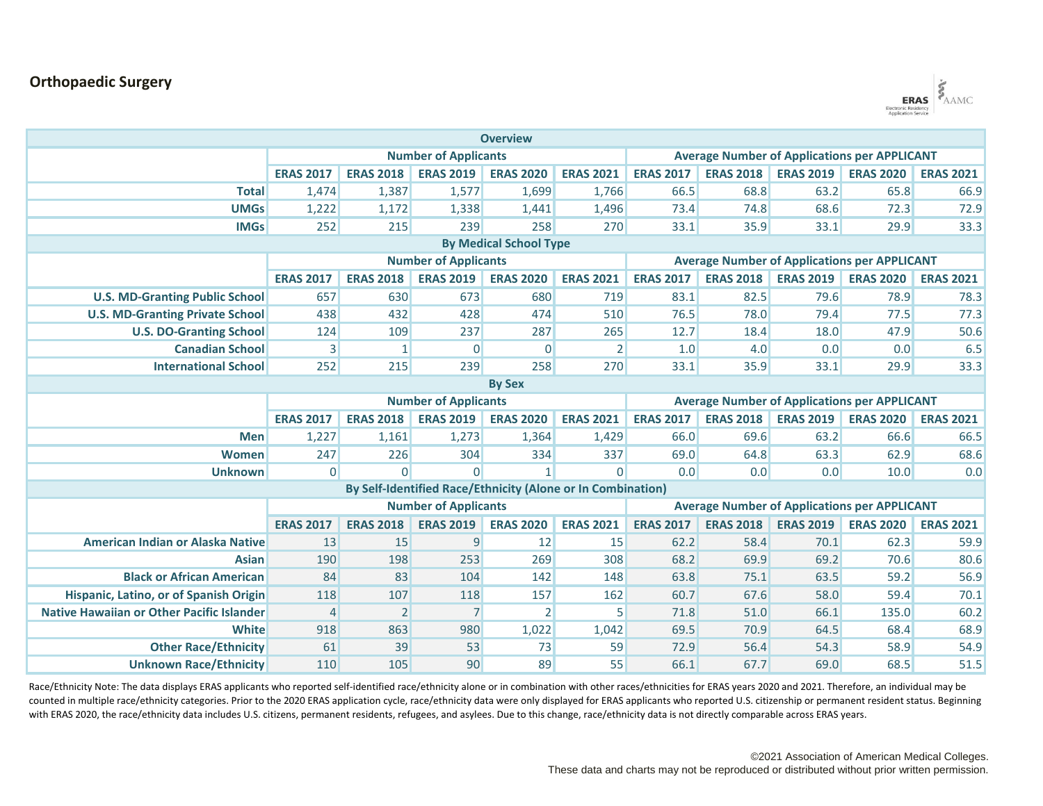## **Orthopaedic Surgery**



| <b>Overview</b>                                             |                             |                  |                  |                  |                                                     |                  |                  |                  |                  |                  |  |  |
|-------------------------------------------------------------|-----------------------------|------------------|------------------|------------------|-----------------------------------------------------|------------------|------------------|------------------|------------------|------------------|--|--|
|                                                             | <b>Number of Applicants</b> |                  |                  |                  | <b>Average Number of Applications per APPLICANT</b> |                  |                  |                  |                  |                  |  |  |
|                                                             | <b>ERAS 2017</b>            | <b>ERAS 2018</b> | <b>ERAS 2019</b> | <b>ERAS 2020</b> | <b>ERAS 2021</b>                                    | <b>ERAS 2017</b> | <b>ERAS 2018</b> | <b>ERAS 2019</b> | <b>ERAS 2020</b> | <b>ERAS 2021</b> |  |  |
| <b>Total</b>                                                | 1,474                       | 1,387            | 1,577            | 1,699            | 1,766                                               | 66.5             | 68.8             | 63.2             | 65.8             | 66.9             |  |  |
| <b>UMGs</b>                                                 | 1,222                       | 1,172            | 1,338            | 1,441            | 1,496                                               | 73.4             | 74.8             | 68.6             | 72.3             | 72.9             |  |  |
| <b>IMGs</b>                                                 | 252                         | 215              | 239              | 258              | 270                                                 | 33.1             | 35.9             | 33.1             | 29.9             | 33.3             |  |  |
| <b>By Medical School Type</b>                               |                             |                  |                  |                  |                                                     |                  |                  |                  |                  |                  |  |  |
|                                                             | <b>Number of Applicants</b> |                  |                  |                  | <b>Average Number of Applications per APPLICANT</b> |                  |                  |                  |                  |                  |  |  |
|                                                             | <b>ERAS 2017</b>            | <b>ERAS 2018</b> | <b>ERAS 2019</b> | <b>ERAS 2020</b> | <b>ERAS 2021</b>                                    | <b>ERAS 2017</b> | <b>ERAS 2018</b> | <b>ERAS 2019</b> | <b>ERAS 2020</b> | <b>ERAS 2021</b> |  |  |
| <b>U.S. MD-Granting Public School</b>                       | 657                         | 630              | 673              | 680              | 719                                                 | 83.1             | 82.5             | 79.6             | 78.9             | 78.3             |  |  |
| <b>U.S. MD-Granting Private School</b>                      | 438                         | 432              | 428              | 474              | 510                                                 | 76.5             | 78.0             | 79.4             | 77.5             | 77.3             |  |  |
| <b>U.S. DO-Granting School</b>                              | 124                         | 109              | 237              | 287              | 265                                                 | 12.7             | 18.4             | 18.0             | 47.9             | 50.6             |  |  |
| <b>Canadian School</b>                                      | 3                           | $\mathbf{1}$     | $\Omega$         | $\mathbf 0$      | $\overline{2}$                                      | 1.0              | 4.0              | 0.0              | 0.0              | 6.5              |  |  |
| <b>International School</b>                                 | 252                         | 215              | 239              | 258              | 270                                                 | 33.1             | 35.9             | 33.1             | 29.9             | 33.3             |  |  |
| <b>By Sex</b>                                               |                             |                  |                  |                  |                                                     |                  |                  |                  |                  |                  |  |  |
|                                                             | <b>Number of Applicants</b> |                  |                  |                  | <b>Average Number of Applications per APPLICANT</b> |                  |                  |                  |                  |                  |  |  |
|                                                             | <b>ERAS 2017</b>            | <b>ERAS 2018</b> | <b>ERAS 2019</b> | <b>ERAS 2020</b> | <b>ERAS 2021</b>                                    | <b>ERAS 2017</b> | <b>ERAS 2018</b> | <b>ERAS 2019</b> | <b>ERAS 2020</b> | <b>ERAS 2021</b> |  |  |
| <b>Men</b>                                                  | 1,227                       | 1,161            | 1,273            | 1,364            | 1,429                                               | 66.0             | 69.6             | 63.2             | 66.6             | 66.5             |  |  |
| <b>Women</b>                                                | 247                         | 226              | 304              | 334              | 337                                                 | 69.0             | 64.8             | 63.3             | 62.9             | 68.6             |  |  |
| <b>Unknown</b>                                              | $\Omega$                    | $\Omega$         | $\Omega$         | $\mathbf{1}$     | $\Omega$                                            | 0.0              | 0.0              | 0.0              | 10.0             | 0.0              |  |  |
| By Self-Identified Race/Ethnicity (Alone or In Combination) |                             |                  |                  |                  |                                                     |                  |                  |                  |                  |                  |  |  |
|                                                             | <b>Number of Applicants</b> |                  |                  |                  | <b>Average Number of Applications per APPLICANT</b> |                  |                  |                  |                  |                  |  |  |
|                                                             | <b>ERAS 2017</b>            | <b>ERAS 2018</b> | <b>ERAS 2019</b> | <b>ERAS 2020</b> | <b>ERAS 2021</b>                                    | <b>ERAS 2017</b> | <b>ERAS 2018</b> | <b>ERAS 2019</b> | <b>ERAS 2020</b> | <b>ERAS 2021</b> |  |  |
| American Indian or Alaska Native                            | 13                          | 15               | $\overline{9}$   | 12               | 15                                                  | 62.2             | 58.4             | 70.1             | 62.3             | 59.9             |  |  |
| <b>Asian</b>                                                | 190                         | 198              | 253              | 269              | 308                                                 | 68.2             | 69.9             | 69.2             | 70.6             | 80.6             |  |  |
| <b>Black or African American</b>                            | 84                          | 83               | 104              | 142              | 148                                                 | 63.8             | 75.1             | 63.5             | 59.2             | 56.9             |  |  |
| Hispanic, Latino, or of Spanish Origin                      | 118                         | 107              | 118              | 157              | 162                                                 | 60.7             | 67.6             | 58.0             | 59.4             | 70.1             |  |  |
| <b>Native Hawaiian or Other Pacific Islander</b>            | $\overline{4}$              | $\overline{2}$   | $\overline{7}$   | $\overline{2}$   | 5                                                   | 71.8             | 51.0             | 66.1             | 135.0            | 60.2             |  |  |
| White                                                       | 918                         | 863              | 980              | 1,022            | 1,042                                               | 69.5             | 70.9             | 64.5             | 68.4             | 68.9             |  |  |
| <b>Other Race/Ethnicity</b>                                 | 61                          | 39               | 53               | 73               | 59                                                  | 72.9             | 56.4             | 54.3             | 58.9             | 54.9             |  |  |
| <b>Unknown Race/Ethnicity</b>                               | 110                         | 105              | 90               | 89               | 55                                                  | 66.1             | 67.7             | 69.0             | 68.5             | 51.5             |  |  |

Race/Ethnicity Note: The data displays ERAS applicants who reported self-identified race/ethnicity alone or in combination with other races/ethnicities for ERAS years 2020 and 2021. Therefore, an individual may be counted in multiple race/ethnicity categories. Prior to the 2020 ERAS application cycle, race/ethnicity data were only displayed for ERAS applicants who reported U.S. citizenship or permanent resident status. Beginning with ERAS 2020, the race/ethnicity data includes U.S. citizens, permanent residents, refugees, and asylees. Due to this change, race/ethnicity data is not directly comparable across ERAS years.